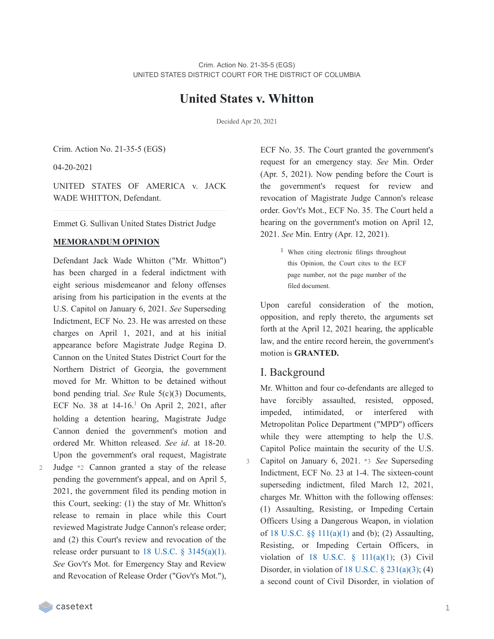# **United States v. Whitton**

Decided Apr 20, 2021

Crim. Action No. 21-35-5 (EGS)

04-20-2021

UNITED STATES OF AMERICA v. JACK WADE WHITTON, Defendant.

Emmet G. Sullivan United States District Judge

#### **MEMORANDUM OPINION**

Defendant Jack Wade Whitton ("Mr. Whitton") has been charged in a federal indictment with eight serious misdemeanor and felony offenses arising from his participation in the events at the U.S. Capitol on January 6, 2021. *See* Superseding Indictment, ECF No. 23. He was arrested on these charges on April 1, 2021, and at his initial appearance before Magistrate Judge Regina D. Cannon on the United States District Court for the Northern District of Georgia, the government moved for Mr. Whitton to be detained without bond pending trial. *See* Rule 5(c)(3) Documents, ECF No. 38 at  $14-16$  $14-16$ <sup>1</sup> On April 2, 2021, after holding a detention hearing, Magistrate Judge Cannon denied the government's motion and ordered Mr. Whitton released. *See id*. at 18-20. Upon the government's oral request, Magistrate Judge \*2 Cannon granted a stay of the release pending the government's appeal, and on April 5,

2021, the government filed its pending motion in this Court, seeking: (1) the stay of Mr. Whitton's release to remain in place while this Court reviewed Magistrate Judge Cannon's release order; and (2) this Court's review and revocation of the release order pursuant to 18 U.S.C.  $\frac{2}{3}$  [3145\(a\)\(1\)](https://casetext.com/statute/united-states-code/title-18-crimes-and-criminal-procedure/part-ii-criminal-procedure/chapter-207-release-and-detention-pending-judicial-proceedings/section-3145-review-and-appeal-of-a-release-or-detention-order). *See* Gov't's Mot. for Emergency Stay and Review and Revocation of Release Order ("Gov't's Mot."),

ECF No. 35. The Court granted the government's request for an emergency stay. *See* Min. Order (Apr. 5, 2021). Now pending before the Court is the government's request for review and revocation of Magistrate Judge Cannon's release order. Gov't's Mot., ECF No. 35. The Court held a hearing on the government's motion on April 12, 2021. *See* Min. Entry (Apr. 12, 2021).

> 1 When citing electronic filings throughout this Opinion, the Court cites to the ECF page number, not the page number of the filed document.

Upon careful consideration of the motion, opposition, and reply thereto, the arguments set forth at the April 12, 2021 hearing, the applicable law, and the entire record herein, the government's motion is **GRANTED.**

#### I. Background

3

Mr. Whitton and four co-defendants are alleged to have forcibly assaulted, resisted, opposed, impeded, intimidated, or interfered with Metropolitan Police Department ("MPD") officers while they were attempting to help the U.S. Capitol Police maintain the security of the U.S. Capitol on January 6, 2021. \*3 *See* Superseding Indictment, ECF No. 23 at 1-4. The sixteen-count superseding indictment, filed March 12, 2021, charges Mr. Whitton with the following offenses: (1) Assaulting, Resisting, or Impeding Certain Officers Using a Dangerous Weapon, in violation of 18 U.S.C.  $\S$  11(a)(1) and (b); (2) Assaulting, Resisting, or Impeding Certain Officers, in violation of 18 U.S.C. § [111\(a\)\(1\);](https://casetext.com/statute/united-states-code/title-18-crimes-and-criminal-procedure/part-i-crimes/chapter-7-assault/section-111-assaulting-resisting-or-impeding-certain-officers-or-employees) (3) Civil Disorder, in violation of  $18$  U.S.C.  $\S$   $231(a)(3)$ ; (4) a second count of Civil Disorder, in violation of

 $\mathcal{D}$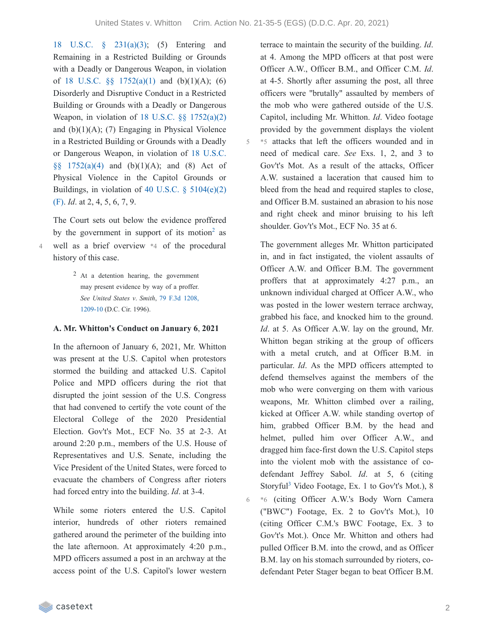6

18 U.S.C. § [231\(a\)\(3\);](https://casetext.com/statute/united-states-code/title-18-crimes-and-criminal-procedure/part-i-crimes/chapter-12-civil-disorders/section-231-civil-disorders) (5) Entering and Remaining in a Restricted Building or Grounds with a Deadly or Dangerous Weapon, in violation of 18 U.S.C.  $\S$  [1752\(a\)\(1\)](https://casetext.com/statute/united-states-code/title-18-crimes-and-criminal-procedure/part-i-crimes/chapter-84-presidential-and-presidential-staff-assassination-kidnapping-and-assault/section-1752-restricted-building-or-grounds) and (b)(1)(A); (6) Disorderly and Disruptive Conduct in a Restricted Building or Grounds with a Deadly or Dangerous Weapon, in violation of 18 U.S.C. §§ [1752\(a\)\(2\)](https://casetext.com/statute/united-states-code/title-18-crimes-and-criminal-procedure/part-i-crimes/chapter-84-presidential-and-presidential-staff-assassination-kidnapping-and-assault/section-1752-restricted-building-or-grounds) and  $(b)(1)(A)$ ; (7) Engaging in Physical Violence in a Restricted Building or Grounds with a Deadly or [Dangerous](https://casetext.com/statute/united-states-code/title-18-crimes-and-criminal-procedure/part-i-crimes/chapter-84-presidential-and-presidential-staff-assassination-kidnapping-and-assault/section-1752-restricted-building-or-grounds) Weapon, in violation of 18 U.S.C.  $§§ 1752(a)(4)$  and  $(b)(1)(A)$ ; and  $(8)$  Act of Physical Violence in the Capitol Grounds or Buildings, in violation of 40 U.S.C.  $\S$  [5104\(e\)\(2\)](https://casetext.com/statute/united-states-code/title-40-public-buildings-property-and-works/subtitle-ii-public-buildings-and-works/part-b-united-states-capitol/chapter-51-united-states-capitol-buildings-and-grounds/section-5104-unlawful-activities) (F). *Id*. at 2, 4, 5, 6, 7, 9.

The Court sets out below the evidence proffered by the government in support of its motion<sup>[2](https://casetext.com/_print/doc/united-states-v-whitton-1?_printIncludeHighlights=false&_printIncludeKeyPassages=false&_printIsTwoColumn=true&_printEmail=&_printHighlightsKey=#N196670)</sup> as well as a brief overview \*4 of the procedural history of this case.

> 2 At a detention hearing, the government may present evidence by way of a proffer. *See United States v*. *Smith*, 79 F.3d 1208, [1209-10](https://casetext.com/case/us-v-smith-507#p1209) (D.C. Cir. 1996).

#### **A. Mr. Whitton's Conduct on January 6**, **2021**

In the afternoon of January 6, 2021, Mr. Whitton was present at the U.S. Capitol when protestors stormed the building and attacked U.S. Capitol Police and MPD officers during the riot that disrupted the joint session of the U.S. Congress that had convened to certify the vote count of the Electoral College of the 2020 Presidential Election. Gov't's Mot., ECF No. 35 at 2-3. At around 2:20 p.m., members of the U.S. House of Representatives and U.S. Senate, including the Vice President of the United States, were forced to evacuate the chambers of Congress after rioters had forced entry into the building. *Id*. at 3-4.

While some rioters entered the U.S. Capitol interior, hundreds of other rioters remained gathered around the perimeter of the building into the late afternoon. At approximately 4:20 p.m., MPD officers assumed a post in an archway at the access point of the U.S. Capitol's lower western

terrace to maintain the security of the building. *Id*. at 4. Among the MPD officers at that post were Officer A.W., Officer B.M., and Officer C.M. *Id*. at 4-5. Shortly after assuming the post, all three officers were "brutally" assaulted by members of the mob who were gathered outside of the U.S. Capitol, including Mr. Whitton. *Id*. Video footage provided by the government displays the violent \*5 attacks that left the officers wounded and in need of medical care. *See* Exs. 1, 2, and 3 to Gov't's Mot. As a result of the attacks, Officer A.W. sustained a laceration that caused him to bleed from the head and required staples to close, and Officer B.M. sustained an abrasion to his nose and right cheek and minor bruising to his left shoulder. Gov't's Mot., ECF No. 35 at 6.

The government alleges Mr. Whitton participated in, and in fact instigated, the violent assaults of Officer A.W. and Officer B.M. The government proffers that at approximately 4:27 p.m., an unknown individual charged at Officer A.W., who was posted in the lower western terrace archway, grabbed his face, and knocked him to the ground. *Id.* at 5. As Officer A.W. lay on the ground, Mr. Whitton began striking at the group of officers with a metal crutch, and at Officer B.M. in particular. *Id*. As the MPD officers attempted to defend themselves against the members of the mob who were converging on them with various weapons, Mr. Whitton climbed over a railing, kicked at Officer A.W. while standing overtop of him, grabbed Officer B.M. by the head and helmet, pulled him over Officer A.W., and dragged him face-first down the U.S. Capitol steps into the violent mob with the assistance of codefendant Jeffrey Sabol. *Id*. at 5, 6 (citing Storyful<sup>[3](https://casetext.com/_print/doc/united-states-v-whitton-1?_printIncludeHighlights=false&_printIncludeKeyPassages=false&_printIsTwoColumn=true&_printEmail=&_printHighlightsKey=#N196720)</sup> Video Footage, Ex. 1 to Gov't's Mot.), 8 \*6 (citing Officer A.W.'s Body Worn Camera ("BWC") Footage, Ex. 2 to Gov't's Mot.), 10 (citing Officer C.M.'s BWC Footage, Ex. 3 to Gov't's Mot.). Once Mr. Whitton and others had pulled Officer B.M. into the crowd, and as Officer B.M. lay on his stomach surrounded by rioters, codefendant Peter Stager began to beat Officer B.M.

4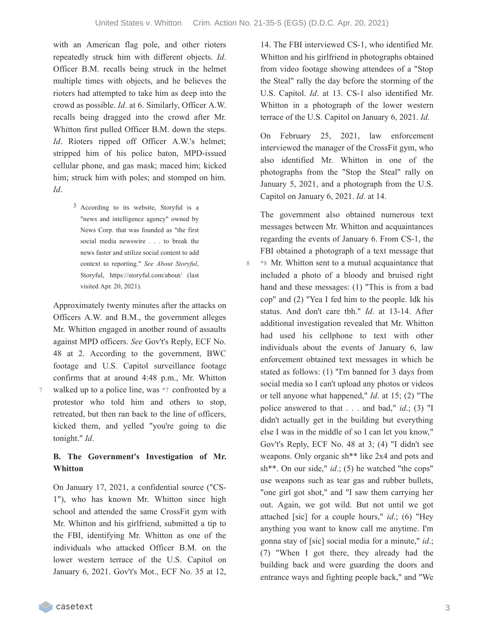with an American flag pole, and other rioters repeatedly struck him with different objects. *Id*. Officer B.M. recalls being struck in the helmet multiple times with objects, and he believes the rioters had attempted to take him as deep into the crowd as possible. *Id*. at 6. Similarly, Officer A.W. recalls being dragged into the crowd after Mr. Whitton first pulled Officer B.M. down the steps. *Id*. Rioters ripped off Officer A.W.'s helmet; stripped him of his police baton, MPD-issued cellular phone, and gas mask; maced him; kicked him; struck him with poles; and stomped on him. *Id*.

> 3 According to its website, Storyful is a "news and intelligence agency" owned by News Corp. that was founded as "the first social media newswire . . . to break the news faster and utilize social content to add context to reporting." *See About Storyful*, Storyful, https://storyful.com/about/ (last visited Apr. 20, 2021).

Approximately twenty minutes after the attacks on Officers A.W. and B.M., the government alleges Mr. Whitton engaged in another round of assaults against MPD officers. *See* Gov't's Reply, ECF No. 48 at 2. According to the government, BWC footage and U.S. Capitol surveillance footage confirms that at around 4:48 p.m., Mr. Whitton walked up to a police line, was \*7 confronted by a protestor who told him and others to stop, retreated, but then ran back to the line of officers, kicked them, and yelled "you're going to die tonight." *Id*.

#### **B. The Government's Investigation of Mr. Whitton**

On January 17, 2021, a confidential source ("CS-1"), who has known Mr. Whitton since high school and attended the same CrossFit gym with Mr. Whitton and his girlfriend, submitted a tip to the FBI, identifying Mr. Whitton as one of the individuals who attacked Officer B.M. on the lower western terrace of the U.S. Capitol on January 6, 2021. Gov't's Mot., ECF No. 35 at 12,

14. The FBI interviewed CS-1, who identified Mr. Whitton and his girlfriend in photographs obtained from video footage showing attendees of a "Stop the Steal" rally the day before the storming of the U.S. Capitol. *Id*. at 13. CS-1 also identified Mr. Whitton in a photograph of the lower western terrace of the U.S. Capitol on January 6, 2021. *Id*.

On February 25, 2021, law enforcement interviewed the manager of the CrossFit gym, who also identified Mr. Whitton in one of the photographs from the "Stop the Steal" rally on January 5, 2021, and a photograph from the U.S. Capitol on January 6, 2021. *Id*. at 14.

The government also obtained numerous text messages between Mr. Whitton and acquaintances regarding the events of January 6. From CS-1, the FBI obtained a photograph of a text message that \*8 Mr. Whitton sent to a mutual acquaintance that included a photo of a bloody and bruised right hand and these messages: (1) "This is from a bad cop" and (2) "Yea I fed him to the people. Idk his status. And don't care tbh." *Id*. at 13-14. After additional investigation revealed that Mr. Whitton had used his cellphone to text with other individuals about the events of January 6, law enforcement obtained text messages in which he stated as follows: (1) "I'm banned for 3 days from social media so I can't upload any photos or videos or tell anyone what happened," *Id*. at 15; (2) "The police answered to that . . . and bad," *id*.; (3) "I didn't actually get in the building but everything else I was in the middle of so I can let you know," Gov't's Reply, ECF No. 48 at 3; (4) "I didn't see weapons. Only organic sh\*\* like 2x4 and pots and sh\*\*. On our side," *id*.; (5) he watched "the cops" use weapons such as tear gas and rubber bullets, "one girl got shot," and "I saw them carrying her out. Again, we got wild. But not until we got attached [sic] for a couple hours," *id*.; (6) "Hey anything you want to know call me anytime. I'm gonna stay of [sic] social media for a minute," *id*.; (7) "When I got there, they already had the building back and were guarding the doors and entrance ways and fighting people back," and "We

7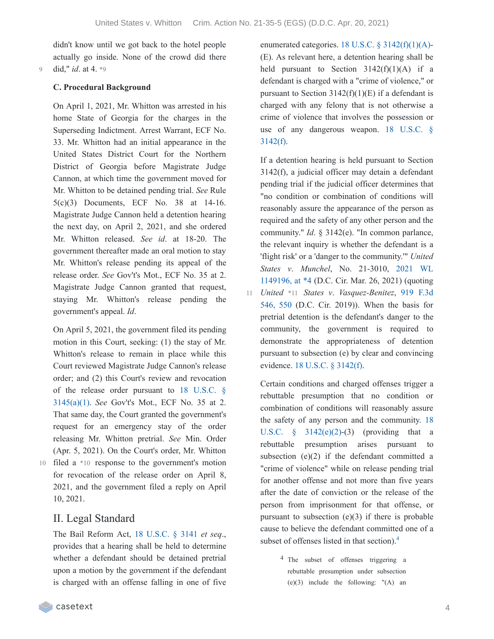didn't know until we got back to the hotel people actually go inside. None of the crowd did there 9 did," *id*. at 4. \*9

#### **C. Procedural Background**

On April 1, 2021, Mr. Whitton was arrested in his home State of Georgia for the charges in the Superseding Indictment. Arrest Warrant, ECF No. 33. Mr. Whitton had an initial appearance in the United States District Court for the Northern District of Georgia before Magistrate Judge Cannon, at which time the government moved for Mr. Whitton to be detained pending trial. *See* Rule 5(c)(3) Documents, ECF No. 38 at 14-16. Magistrate Judge Cannon held a detention hearing the next day, on April 2, 2021, and she ordered Mr. Whitton released. *See id*. at 18-20. The government thereafter made an oral motion to stay Mr. Whitton's release pending its appeal of the release order. *See* Gov't's Mot., ECF No. 35 at 2. Magistrate Judge Cannon granted that request, staying Mr. Whitton's release pending the government's appeal. *Id*.

On April 5, 2021, the government filed its pending motion in this Court, seeking: (1) the stay of Mr. Whitton's release to remain in place while this Court reviewed Magistrate Judge Cannon's release order; and (2) this Court's review and revocation of the release order pursuant to 18 U.S.C. § [3145\(a\)\(1\).](https://casetext.com/statute/united-states-code/title-18-crimes-and-criminal-procedure/part-ii-criminal-procedure/chapter-207-release-and-detention-pending-judicial-proceedings/section-3145-review-and-appeal-of-a-release-or-detention-order) *See* Gov't's Mot., ECF No. 35 at 2. That same day, the Court granted the government's request for an emergency stay of the order releasing Mr. Whitton pretrial. *See* Min. Order (Apr. 5, 2021). On the Court's order, Mr. Whitton 10 filed a \*10 response to the government's motion for revocation of the release order on April 8, 2021, and the government filed a reply on April 10, 2021.

# II. Legal Standard

The Bail Reform Act, 18 [U.S.C.](https://casetext.com/statute/united-states-code/title-18-crimes-and-criminal-procedure/part-ii-criminal-procedure/chapter-207-release-and-detention-pending-judicial-proceedings/section-3141-release-and-detention-authority-generally) § 3141 *et seq*., provides that a hearing shall be held to determine whether a defendant should be detained pretrial upon a motion by the government if the defendant is charged with an offense falling in one of five enumerated categories. 18 U.S.C.  $\S$  [3142\(f\)\(1\)\(A\)-](https://casetext.com/statute/united-states-code/title-18-crimes-and-criminal-procedure/part-ii-criminal-procedure/chapter-207-release-and-detention-pending-judicial-proceedings/section-3142-release-or-detention-of-a-defendant-pending-trial) (E). As relevant here, a detention hearing shall be held pursuant to Section  $3142(f)(1)(A)$  if a defendant is charged with a "crime of violence," or pursuant to Section  $3142(f)(1)(E)$  if a defendant is charged with any felony that is not otherwise a crime of violence that involves the possession or use of any [dangerous](https://casetext.com/statute/united-states-code/title-18-crimes-and-criminal-procedure/part-ii-criminal-procedure/chapter-207-release-and-detention-pending-judicial-proceedings/section-3142-release-or-detention-of-a-defendant-pending-trial) weapon. 18 U.S.C. §  $3142(f)$ .

If a detention hearing is held pursuant to Section 3142(f), a judicial officer may detain a defendant pending trial if the judicial officer determines that "no condition or combination of conditions will reasonably assure the appearance of the person as required and the safety of any other person and the community." *Id*. § 3142(e). "In common parlance, the relevant inquiry is whether the defendant is a 'flight risk' or a 'danger to the community.'" *United States v*. *Munchel*, No. 21-3010, 2021 WL [1149196,](https://casetext.com/case/united-states-v-munchel-1#p4) at \*4 (D.C. Cir. Mar. 26, 2021) (quoting *United* \*11 *States v*. *[Vasquez-Benitez](https://casetext.com/case/united-states-v-vasquez-benitez-2#p550)*, 919 F.3d 546, 550 (D.C. Cir. 2019)). When the basis for pretrial detention is the defendant's danger to the community, the government is required to demonstrate the appropriateness of detention pursuant to subsection (e) by clear and convincing evidence. 18 U.S.C. § [3142\(f\)](https://casetext.com/statute/united-states-code/title-18-crimes-and-criminal-procedure/part-ii-criminal-procedure/chapter-207-release-and-detention-pending-judicial-proceedings/section-3142-release-or-detention-of-a-defendant-pending-trial). 11

Certain conditions and charged offenses trigger a rebuttable presumption that no condition or combination of conditions will reasonably assure the safety of any person and the community. 18 U.S.C.  $\S$  [3142\(e\)\(2\)-\(3\)](https://casetext.com/statute/united-states-code/title-18-crimes-and-criminal-procedure/part-ii-criminal-procedure/chapter-207-release-and-detention-pending-judicial-proceedings/section-3142-release-or-detention-of-a-defendant-pending-trial) (providing that a rebuttable presumption arises pursuant to subsection  $(e)(2)$  if the defendant committed a "crime of violence" while on release pending trial for another offense and not more than five years after the date of conviction or the release of the person from imprisonment for that offense, or pursuant to subsection  $(e)(3)$  if there is probable cause to believe the defendant committed one of a subset of offenses listed in that section). [4](https://casetext.com/_print/doc/united-states-v-whitton-1?_printIncludeHighlights=false&_printIncludeKeyPassages=false&_printIsTwoColumn=true&_printEmail=&_printHighlightsKey=#N196864)

> 4 The subset of offenses triggering a rebuttable presumption under subsection (e)(3) include the following: "(A) an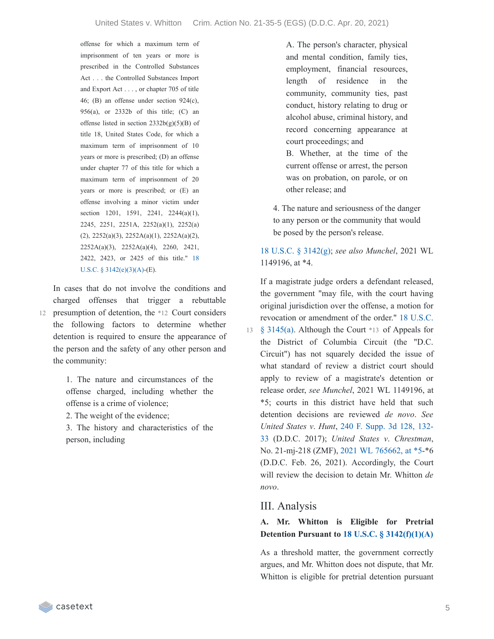offense for which a maximum term of imprisonment of ten years or more is prescribed in the Controlled Substances Act . . . the Controlled Substances Import and Export Act . . . , or chapter 705 of title 46; (B) an offense under section 924(c), 956(a), or 2332b of this title; (C) an offense listed in section 2332b(g)(5)(B) of title 18, United States Code, for which a maximum term of imprisonment of 10 years or more is prescribed; (D) an offense under chapter 77 of this title for which a maximum term of imprisonment of 20 years or more is prescribed; or (E) an offense involving a minor victim under section 1201, 1591, 2241, 2244(a)(1), 2245, 2251, 2251A, 2252(a)(1), 2252(a) (2), 2252(a)(3), 2252A(a)(1), 2252A(a)(2), 2252A(a)(3), 2252A(a)(4), 2260, 2421, 2422, 2423, or 2425 of this title." 18 U.S.C. § [3142\(e\)\(3\)\(A\)-\(E\).](https://casetext.com/statute/united-states-code/title-18-crimes-and-criminal-procedure/part-ii-criminal-procedure/chapter-207-release-and-detention-pending-judicial-proceedings/section-3142-release-or-detention-of-a-defendant-pending-trial)

In cases that do not involve the conditions and charged offenses that trigger a rebuttable 12 presumption of detention, the \*12 Court considers the following factors to determine whether detention is required to ensure the appearance of the person and the safety of any other person and the community:

> 1. The nature and circumstances of the offense charged, including whether the offense is a crime of violence;

2. The weight of the evidence;

3. The history and characteristics of the person, including

A. The person's character, physical and mental condition, family ties, employment, financial resources, length of residence in the community, community ties, past conduct, history relating to drug or alcohol abuse, criminal history, and record concerning appearance at court proceedings; and

B. Whether, at the time of the current offense or arrest, the person was on probation, on parole, or on other release; and

4. The nature and seriousness of the danger to any person or the community that would be posed by the person's release.

18 U.S.C. § [3142\(g\);](https://casetext.com/statute/united-states-code/title-18-crimes-and-criminal-procedure/part-ii-criminal-procedure/chapter-207-release-and-detention-pending-judicial-proceedings/section-3142-release-or-detention-of-a-defendant-pending-trial) *see also Munchel*, 2021 WL 1149196, at \*4.

If a magistrate judge orders a defendant released, the government "may file, with the court having original jurisdiction over the offense, a motion for revocation or [amendment](https://casetext.com/statute/united-states-code/title-18-crimes-and-criminal-procedure/part-ii-criminal-procedure/chapter-207-release-and-detention-pending-judicial-proceedings/section-3145-review-and-appeal-of-a-release-or-detention-order) of the order." 18 U.S.C.

§ 3145(a). Although the Court \*13 of Appeals for 13 the District of Columbia Circuit (the "D.C. Circuit") has not squarely decided the issue of what standard of review a district court should apply to review of a magistrate's detention or release order, *see Munchel*, 2021 WL 1149196, at \*5; courts in this district have held that such detention decisions are reviewed *de novo*. *See United States v*. *Hunt*, 240 F. Supp. 3d 128, 132- 33 (D.D.C. 2017); *United States v*. *[Chrestman](https://casetext.com/case/united-states-v-hunt-95#p132)*, No. 21-mj-218 (ZMF), 2021 WL [765662,](https://casetext.com/case/united-states-v-chrestman-2#p5) at \*5-\*6 (D.D.C. Feb. 26, 2021). Accordingly, the Court will review the decision to detain Mr. Whitton *de novo*.

# III. Analysis

### **A. Mr. Whitton is Eligible for Pretrial Detention Pursuant to 18 U.S.C. § [3142\(f\)\(1\)\(A\)](https://casetext.com/statute/united-states-code/title-18-crimes-and-criminal-procedure/part-ii-criminal-procedure/chapter-207-release-and-detention-pending-judicial-proceedings/section-3142-release-or-detention-of-a-defendant-pending-trial)**

As a threshold matter, the government correctly argues, and Mr. Whitton does not dispute, that Mr. Whitton is eligible for pretrial detention pursuant

casetext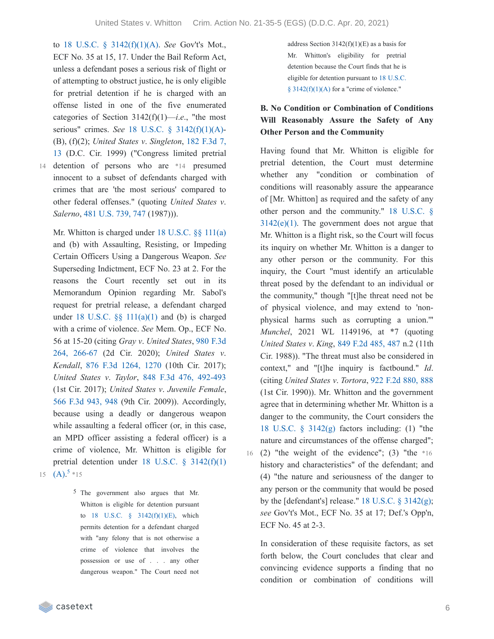to 18 U.S.C. § [3142\(f\)\(1\)\(A\)](https://casetext.com/statute/united-states-code/title-18-crimes-and-criminal-procedure/part-ii-criminal-procedure/chapter-207-release-and-detention-pending-judicial-proceedings/section-3142-release-or-detention-of-a-defendant-pending-trial). *See* Gov't's Mot., ECF No. 35 at 15, 17. Under the Bail Reform Act, unless a defendant poses a serious risk of flight or of attempting to obstruct justice, he is only eligible for pretrial detention if he is charged with an offense listed in one of the five enumerated categories of Section 3142(f)(1)—*i*.*e*., "the most serious" crimes. *See* 18 U.S.C. § [3142\(f\)\(1\)\(A\)-](https://casetext.com/statute/united-states-code/title-18-crimes-and-criminal-procedure/part-ii-criminal-procedure/chapter-207-release-and-detention-pending-judicial-proceedings/section-3142-release-or-detention-of-a-defendant-pending-trial) (B), (f)(2); *United States v*. *Singleton*, 182 F.3d 7, 13 (D.C. Cir. 1999) [\("Congress](https://casetext.com/case/us-v-singleton-68#p13) limited pretrial 14 detention of persons who are \*14 presumed innocent to a subset of defendants charged with crimes that are 'the most serious' compared to other federal offenses." (quoting *United States v*. *Salerno*, 481 [U.S.](https://casetext.com/case/united-states-v-salerno-7#p747) 739, 747 (1987))).

Mr. Whitton is charged under 18 [U.S.C.](https://casetext.com/statute/united-states-code/title-18-crimes-and-criminal-procedure/part-i-crimes/chapter-7-assault/section-111-assaulting-resisting-or-impeding-certain-officers-or-employees) §§ 111(a) and (b) with Assaulting, Resisting, or Impeding Certain Officers Using a Dangerous Weapon. *See* Superseding Indictment, ECF No. 23 at 2. For the reasons the Court recently set out in its Memorandum Opinion regarding Mr. Sabol's request for pretrial release, a defendant charged under 18 U.S.C.  $\&$  [111\(a\)\(1\)](https://casetext.com/statute/united-states-code/title-18-crimes-and-criminal-procedure/part-i-crimes/chapter-7-assault/section-111-assaulting-resisting-or-impeding-certain-officers-or-employees) and (b) is charged with a crime of violence. *See* Mem. Op., ECF No. 56 at 15-20 (citing *Gray v*. *United States*, 980 F.3d 264, [266-67](https://casetext.com/case/gray-v-united-states-192#p266) (2d Cir. 2020); *United States v*. *Kendall*, 876 F.3d [1264,](https://casetext.com/case/united-states-v-kendall-11#p1270) 1270 (10th Cir. 2017); *United States v*. *Taylor*, 848 F.3d 476, [492-493](https://casetext.com/case/united-states-v-taylor-907#p492) (1st Cir. 2017); *United States v*. *Juvenile Female*, 566 F.3d [943,](https://casetext.com/case/us-v-juvenile-female-4#p948) 948 (9th Cir. 2009)). Accordingly, because using a deadly or dangerous weapon while assaulting a federal officer (or, in this case, an MPD officer assisting a federal officer) is a crime of violence, Mr. Whitton is eligible for pretrial detention under 18 U.S.C. § [3142\(f\)\(1\)](https://casetext.com/statute/united-states-code/title-18-crimes-and-criminal-procedure/part-ii-criminal-procedure/chapter-207-release-and-detention-pending-judicial-proceedings/section-3142-release-or-detention-of-a-defendant-pending-trial) 1[5](https://casetext.com/_print/doc/united-states-v-whitton-1?_printIncludeHighlights=false&_printIncludeKeyPassages=false&_printIsTwoColumn=true&_printEmail=&_printHighlightsKey=#N196991)  $(A).^{5}$  \*15

> 5 The government also argues that Mr. Whitton is eligible for detention pursuant to 18 U.S.C. § [3142\(f\)\(1\)\(E\),](https://casetext.com/statute/united-states-code/title-18-crimes-and-criminal-procedure/part-ii-criminal-procedure/chapter-207-release-and-detention-pending-judicial-proceedings/section-3142-release-or-detention-of-a-defendant-pending-trial) which permits detention for a defendant charged with "any felony that is not otherwise a crime of violence that involves the possession or use of . . . any other dangerous weapon." The Court need not

address Section  $3142(f)(1)(E)$  as a basis for Mr. Whitton's eligibility for pretrial detention because the Court finds that he is eligible for detention pursuant to 18 U.S.C. §  $3142(f)(1)(A)$  for a "crime of violence."

## **B. No Condition or Combination of Conditions Will Reasonably Assure the Safety of Any Other Person and the Community**

Having found that Mr. Whitton is eligible for pretrial detention, the Court must determine whether any "condition or combination of conditions will reasonably assure the appearance of [Mr. Whitton] as required and the safety of any other person and the [community."](https://casetext.com/statute/united-states-code/title-18-crimes-and-criminal-procedure/part-ii-criminal-procedure/chapter-207-release-and-detention-pending-judicial-proceedings/section-3142-release-or-detention-of-a-defendant-pending-trial) 18 U.S.C. §  $3142(e)(1)$ . The government does not argue that Mr. Whitton is a flight risk, so the Court will focus its inquiry on whether Mr. Whitton is a danger to any other person or the community. For this inquiry, the Court "must identify an articulable threat posed by the defendant to an individual or the community," though "[t]he threat need not be of physical violence, and may extend to 'nonphysical harms such as corrupting a union.'" *Munchel*, 2021 WL 1149196, at \*7 (quoting *United States v*. *King*, 849 F.2d [485,](https://casetext.com/case/us-v-king-304#p487) 487 n.2 (11th Cir. 1988)). "The threat must also be considered in context," and "[t]he inquiry is factbound." *Id*. (citing *United States v*. *Tortora*, 922 F.2d [880,](https://casetext.com/case/us-v-tortora-3#p888) 888 (1st Cir. 1990)). Mr. Whitton and the government agree that in determining whether Mr. Whitton is a danger to the community, the Court considers the 18 U.S.C. § [3142\(g\)](https://casetext.com/statute/united-states-code/title-18-crimes-and-criminal-procedure/part-ii-criminal-procedure/chapter-207-release-and-detention-pending-judicial-proceedings/section-3142-release-or-detention-of-a-defendant-pending-trial) factors including: (1) "the nature and circumstances of the offense charged"; 16 (2) "the weight of the evidence"; (3) "the  $*16$ history and characteristics" of the defendant; and (4) "the nature and seriousness of the danger to any person or the community that would be posed by the [defendant's] release." 18 U.S.C. § [3142\(g\);](https://casetext.com/statute/united-states-code/title-18-crimes-and-criminal-procedure/part-ii-criminal-procedure/chapter-207-release-and-detention-pending-judicial-proceedings/section-3142-release-or-detention-of-a-defendant-pending-trial) *see* Gov't's Mot., ECF No. 35 at 17; Def.'s Opp'n, ECF No. 45 at 2-3.

In consideration of these requisite factors, as set forth below, the Court concludes that clear and convincing evidence supports a finding that no condition or combination of conditions will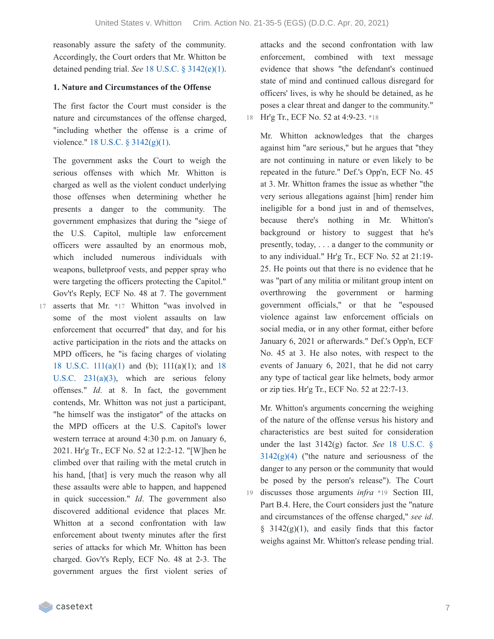reasonably assure the safety of the community. Accordingly, the Court orders that Mr. Whitton be detained pending trial. *See* 18 U.S.C. § [3142\(e\)\(1\).](https://casetext.com/statute/united-states-code/title-18-crimes-and-criminal-procedure/part-ii-criminal-procedure/chapter-207-release-and-detention-pending-judicial-proceedings/section-3142-release-or-detention-of-a-defendant-pending-trial)

#### **1. Nature and Circumstances of the Offense**

The first factor the Court must consider is the nature and circumstances of the offense charged, "including whether the offense is a crime of violence." 18 U.S.C. § [3142\(g\)\(1\).](https://casetext.com/statute/united-states-code/title-18-crimes-and-criminal-procedure/part-ii-criminal-procedure/chapter-207-release-and-detention-pending-judicial-proceedings/section-3142-release-or-detention-of-a-defendant-pending-trial)

The government asks the Court to weigh the serious offenses with which Mr. Whitton is charged as well as the violent conduct underlying those offenses when determining whether he presents a danger to the community. The government emphasizes that during the "siege of the U.S. Capitol, multiple law enforcement officers were assaulted by an enormous mob, which included numerous individuals with weapons, bulletproof vests, and pepper spray who were targeting the officers protecting the Capitol." Gov't's Reply, ECF No. 48 at 7. The government

17 asserts that Mr. \*17 Whitton "was involved in some of the most violent assaults on law enforcement that occurred" that day, and for his active participation in the riots and the attacks on MPD officers, he "is facing charges of violating 18 U.S.C. [111\(a\)\(1\)](https://casetext.com/statute/united-states-code/title-18-crimes-and-criminal-procedure/part-i-crimes/chapter-7-assault/section-111-assaulting-resisting-or-impeding-certain-officers-or-employees) and (b); 111(a)(1); and 18 U.S.C. [231\(a\)\(3\),](https://casetext.com/statute/united-states-code/title-18-crimes-and-criminal-procedure/part-i-crimes/chapter-12-civil-disorders/section-231-civil-disorders) which are serious felony offenses." *Id*. at 8. In fact, the government contends, Mr. Whitton was not just a participant, "he himself was the instigator" of the attacks on the MPD officers at the U.S. Capitol's lower western terrace at around 4:30 p.m. on January 6, 2021. Hr'g Tr., ECF No. 52 at 12:2-12. "[W]hen he climbed over that railing with the metal crutch in his hand, [that] is very much the reason why all these assaults were able to happen, and happened in quick succession." *Id*. The government also discovered additional evidence that places Mr. Whitton at a second confrontation with law enforcement about twenty minutes after the first series of attacks for which Mr. Whitton has been charged. Gov't's Reply, ECF No. 48 at 2-3. The government argues the first violent series of

attacks and the second confrontation with law enforcement, combined with text message evidence that shows "the defendant's continued state of mind and continued callous disregard for officers' lives, is why he should be detained, as he poses a clear threat and danger to the community." 18 Hr'g Tr., ECF No. 52 at 4:9-23. \*18

Mr. Whitton acknowledges that the charges against him "are serious," but he argues that "they are not continuing in nature or even likely to be repeated in the future." Def.'s Opp'n, ECF No. 45 at 3. Mr. Whitton frames the issue as whether "the very serious allegations against [him] render him ineligible for a bond just in and of themselves, because there's nothing in Mr. Whitton's background or history to suggest that he's presently, today, . . . a danger to the community or to any individual." Hr'g Tr., ECF No. 52 at 21:19- 25. He points out that there is no evidence that he was "part of any militia or militant group intent on overthrowing the government or harming government officials," or that he "espoused violence against law enforcement officials on social media, or in any other format, either before January 6, 2021 or afterwards." Def.'s Opp'n, ECF No. 45 at 3. He also notes, with respect to the events of January 6, 2021, that he did not carry any type of tactical gear like helmets, body armor or zip ties. Hr'g Tr., ECF No. 52 at 22:7-13.

Mr. Whitton's arguments concerning the weighing of the nature of the offense versus his history and characteristics are best suited for consideration under the last 3142(g) factor. *See* 18 U.S.C. §  $3142(g)(4)$  ("the nature and [seriousness](https://casetext.com/statute/united-states-code/title-18-crimes-and-criminal-procedure/part-ii-criminal-procedure/chapter-207-release-and-detention-pending-judicial-proceedings/section-3142-release-or-detention-of-a-defendant-pending-trial) of the danger to any person or the community that would be posed by the person's release"). The Court discusses those arguments *infra* \*19 Section III, 19 Part B.4. Here, the Court considers just the "nature and circumstances of the offense charged," *see id*.  $§$  3142(g)(1), and easily finds that this factor weighs against Mr. Whitton's release pending trial.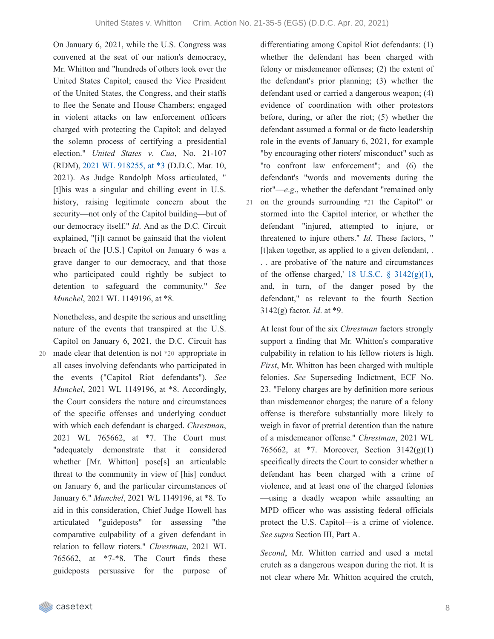On January 6, 2021, while the U.S. Congress was convened at the seat of our nation's democracy, Mr. Whitton and "hundreds of others took over the United States Capitol; caused the Vice President of the United States, the Congress, and their staffs to flee the Senate and House Chambers; engaged in violent attacks on law enforcement officers charged with protecting the Capitol; and delayed the solemn process of certifying a presidential election." *United States v*. *Cua*, No. 21-107 (RDM), 2021 WL [918255,](https://casetext.com/case/united-states-v-cua-3#p3) at \*3 (D.D.C. Mar. 10, 2021). As Judge Randolph Moss articulated, " [t]his was a singular and chilling event in U.S. history, raising legitimate concern about the security—not only of the Capitol building—but of our democracy itself." *Id*. And as the D.C. Circuit explained, "[i]t cannot be gainsaid that the violent breach of the [U.S.] Capitol on January 6 was a grave danger to our democracy, and that those who participated could rightly be subject to detention to safeguard the community." *See Munchel*, 2021 WL 1149196, at \*8.

Nonetheless, and despite the serious and unsettling nature of the events that transpired at the U.S. Capitol on January 6, 2021, the D.C. Circuit has made clear that detention is not \*20 appropriate in 20 all cases involving defendants who participated in the events ("Capitol Riot defendants"). *See Munchel*, 2021 WL 1149196, at \*8. Accordingly, the Court considers the nature and circumstances of the specific offenses and underlying conduct with which each defendant is charged. *Chrestman*, 2021 WL 765662, at \*7. The Court must "adequately demonstrate that it considered whether [Mr. Whitton] pose[s] an articulable threat to the community in view of [his] conduct on January 6, and the particular circumstances of January 6." *Munchel*, 2021 WL 1149196, at \*8. To aid in this consideration, Chief Judge Howell has articulated "guideposts" for assessing "the comparative culpability of a given defendant in relation to fellow rioters." *Chrestman*, 2021 WL 765662, at \*7-\*8. The Court finds these guideposts persuasive for the purpose of

differentiating among Capitol Riot defendants: (1) whether the defendant has been charged with felony or misdemeanor offenses; (2) the extent of the defendant's prior planning; (3) whether the defendant used or carried a dangerous weapon; (4) evidence of coordination with other protestors before, during, or after the riot; (5) whether the defendant assumed a formal or de facto leadership role in the events of January 6, 2021, for example "by encouraging other rioters' misconduct" such as "to confront law enforcement"; and (6) the defendant's "words and movements during the riot"—*e*.*g*., whether the defendant "remained only 21 on the grounds surrounding \*21 the Capitol" or stormed into the Capitol interior, or whether the defendant "injured, attempted to injure, or threatened to injure others." *Id*. These factors, " [t]aken together, as applied to a given defendant, . . . are probative of 'the nature and circumstances of the offense charged,' 18 U.S.C.  $\S$  [3142\(g\)\(1\),](https://casetext.com/statute/united-states-code/title-18-crimes-and-criminal-procedure/part-ii-criminal-procedure/chapter-207-release-and-detention-pending-judicial-proceedings/section-3142-release-or-detention-of-a-defendant-pending-trial) and, in turn, of the danger posed by the defendant," as relevant to the fourth Section 3142(g) factor. *Id*. at \*9.

At least four of the six *Chrestman* factors strongly support a finding that Mr. Whitton's comparative culpability in relation to his fellow rioters is high. *First*, Mr. Whitton has been charged with multiple felonies. *See* Superseding Indictment, ECF No. 23. "Felony charges are by definition more serious than misdemeanor charges; the nature of a felony offense is therefore substantially more likely to weigh in favor of pretrial detention than the nature of a misdemeanor offense." *Chrestman*, 2021 WL 765662, at \*7. Moreover, Section 3142(g)(1) specifically directs the Court to consider whether a defendant has been charged with a crime of violence, and at least one of the charged felonies —using a deadly weapon while assaulting an MPD officer who was assisting federal officials protect the U.S. Capitol—is a crime of violence. *See supra* Section III, Part A.

*Second*, Mr. Whitton carried and used a metal crutch as a dangerous weapon during the riot. It is not clear where Mr. Whitton acquired the crutch,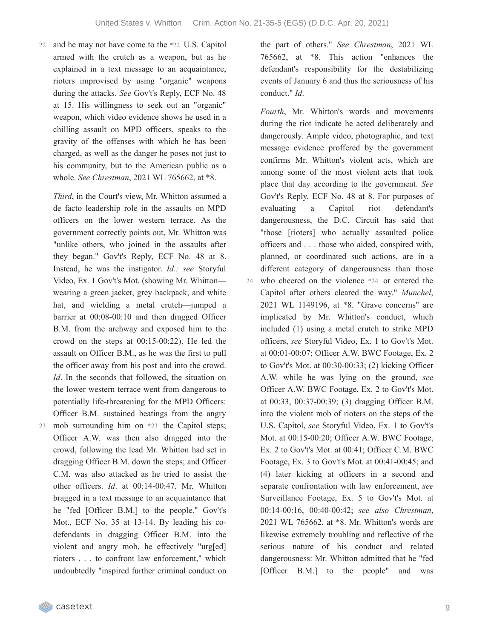22 and he may not have come to the \*22 U.S. Capitol armed with the crutch as a weapon, but as he explained in a text message to an acquaintance, rioters improvised by using "organic" weapons during the attacks. *See* Gov't's Reply, ECF No. 48 at 15. His willingness to seek out an "organic" weapon, which video evidence shows he used in a chilling assault on MPD officers, speaks to the gravity of the offenses with which he has been charged, as well as the danger he poses not just to his community, but to the American public as a whole. *See Chrestman*, 2021 WL 765662, at \*8.

*Third*, in the Court's view, Mr. Whitton assumed a de facto leadership role in the assaults on MPD officers on the lower western terrace. As the government correctly points out, Mr. Whitton was "unlike others, who joined in the assaults after they began." Gov't's Reply, ECF No. 48 at 8. Instead, he was the instigator. *Id*.*; see* Storyful Video, Ex. 1 Gov't's Mot. (showing Mr. Whitton wearing a green jacket, grey backpack, and white hat, and wielding a metal crutch—jumped a barrier at 00:08-00:10 and then dragged Officer B.M. from the archway and exposed him to the crowd on the steps at 00:15-00:22). He led the assault on Officer B.M., as he was the first to pull the officer away from his post and into the crowd. *Id*. In the seconds that followed, the situation on the lower western terrace went from dangerous to potentially life-threatening for the MPD Officers: Officer B.M. sustained beatings from the angry mob surrounding him on \*23 the Capitol steps; 23 Officer A.W. was then also dragged into the crowd, following the lead Mr. Whitton had set in dragging Officer B.M. down the steps; and Officer C.M. was also attacked as he tried to assist the other officers. *Id*. at 00:14-00:47. Mr. Whitton bragged in a text message to an acquaintance that he "fed [Officer B.M.] to the people." Gov't's Mot., ECF No. 35 at 13-14. By leading his codefendants in dragging Officer B.M. into the violent and angry mob, he effectively "urg[ed] rioters . . . to confront law enforcement," which undoubtedly "inspired further criminal conduct on

the part of others." *See Chrestman*, 2021 WL 765662, at \*8. This action "enhances the defendant's responsibility for the destabilizing events of January 6 and thus the seriousness of his conduct." *Id*.

*Fourth*, Mr. Whitton's words and movements during the riot indicate he acted deliberately and dangerously. Ample video, photographic, and text message evidence proffered by the government confirms Mr. Whitton's violent acts, which are among some of the most violent acts that took place that day according to the government. *See* Gov't's Reply, ECF No. 48 at 8. For purposes of evaluating a Capitol riot defendant's dangerousness, the D.C. Circuit has said that "those [rioters] who actually assaulted police officers and . . . those who aided, conspired with, planned, or coordinated such actions, are in a different category of dangerousness than those who cheered on the violence \*24 or entered the Capitol after others cleared the way." *Munchel*, 2021 WL 1149196, at \*8. "Grave concerns" are implicated by Mr. Whitton's conduct, which included (1) using a metal crutch to strike MPD officers, *see* Storyful Video, Ex. 1 to Gov't's Mot. at 00:01-00:07; Officer A.W. BWC Footage, Ex. 2 to Gov't's Mot. at 00:30-00:33; (2) kicking Officer A.W. while he was lying on the ground, *see* Officer A.W. BWC Footage, Ex. 2 to Gov't's Mot. at 00:33, 00:37-00:39; (3) dragging Officer B.M. into the violent mob of rioters on the steps of the U.S. Capitol, *see* Storyful Video, Ex. 1 to Gov't's Mot. at 00:15-00:20; Officer A.W. BWC Footage, Ex. 2 to Gov't's Mot. at 00:41; Officer C.M. BWC Footage, Ex. 3 to Gov't's Mot. at 00:41-00:45; and (4) later kicking at officers in a second and separate confrontation with law enforcement, *see* Surveillance Footage, Ex. 5 to Gov't's Mot. at 00:14-00:16, 00:40-00:42; *see also Chrestman*, 2021 WL 765662, at \*8. Mr. Whitton's words are likewise extremely troubling and reflective of the serious nature of his conduct and related dangerousness: Mr. Whitton admitted that he "fed [Officer B.M.] to the people" and was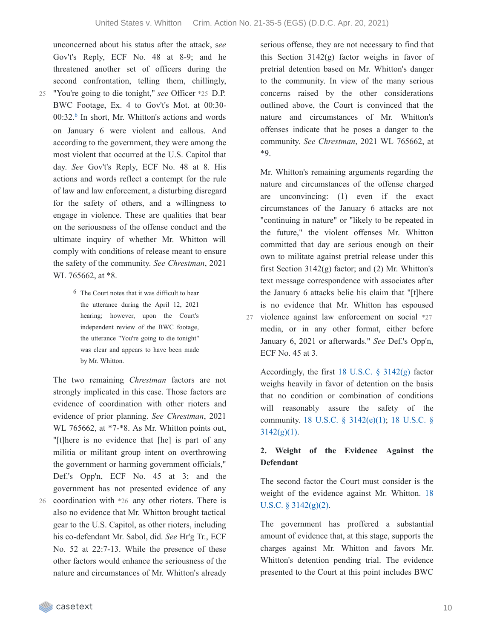unconcerned about his status after the attack, s*ee* Gov't's Reply, ECF No. 48 at 8-9; and he threatened another set of officers during the second confrontation, telling them, chillingly,

- "You're going to die tonight," *see* Officer \*25 D.P. 25 BWC Footage, Ex. 4 to Gov't's Mot. at 00:30-  $00:32<sup>6</sup>$  $00:32<sup>6</sup>$  $00:32<sup>6</sup>$  In short, Mr. Whitton's actions and words on January 6 were violent and callous. And according to the government, they were among the most violent that occurred at the U.S. Capitol that day. *See* Gov't's Reply, ECF No. 48 at 8. His actions and words reflect a contempt for the rule of law and law enforcement, a disturbing disregard for the safety of others, and a willingness to engage in violence. These are qualities that bear on the seriousness of the offense conduct and the ultimate inquiry of whether Mr. Whitton will comply with conditions of release meant to ensure the safety of the community. *See Chrestman*, 2021 WL 765662, at \*8.
	- 6 The Court notes that it was difficult to hear the utterance during the April 12, 2021 hearing; however, upon the Court's independent review of the BWC footage, the utterance "You're going to die tonight" was clear and appears to have been made by Mr. Whitton.

The two remaining *Chrestman* factors are not strongly implicated in this case. Those factors are evidence of coordination with other rioters and evidence of prior planning. *See Chrestman*, 2021 WL 765662, at  $*7-8$ . As Mr. Whitton points out, "[t]here is no evidence that [he] is part of any militia or militant group intent on overthrowing the government or harming government officials," Def.'s Opp'n, ECF No. 45 at 3; and the government has not presented evidence of any coordination with \*26 any other rioters. There is also no evidence that Mr. Whitton brought tactical

gear to the U.S. Capitol, as other rioters, including his co-defendant Mr. Sabol, did. *See* Hr'g Tr., ECF No. 52 at 22:7-13. While the presence of these other factors would enhance the seriousness of the nature and circumstances of Mr. Whitton's already serious offense, they are not necessary to find that this Section  $3142(g)$  factor weighs in favor of pretrial detention based on Mr. Whitton's danger to the community. In view of the many serious concerns raised by the other considerations outlined above, the Court is convinced that the nature and circumstances of Mr. Whitton's offenses indicate that he poses a danger to the community. *See Chrestman*, 2021 WL 765662, at \*9.

Mr. Whitton's remaining arguments regarding the nature and circumstances of the offense charged are unconvincing: (1) even if the exact circumstances of the January 6 attacks are not "continuing in nature" or "likely to be repeated in the future," the violent offenses Mr. Whitton committed that day are serious enough on their own to militate against pretrial release under this first Section  $3142(g)$  factor; and  $(2)$  Mr. Whitton's text message correspondence with associates after the January 6 attacks belie his claim that "[t]here is no evidence that Mr. Whitton has espoused 27 violence against law enforcement on social \*27 media, or in any other format, either before

January 6, 2021 or afterwards." *See* Def.'s Opp'n, ECF No. 45 at 3.

Accordingly, the first 18 U.S.C. § [3142\(g\)](https://casetext.com/statute/united-states-code/title-18-crimes-and-criminal-procedure/part-ii-criminal-procedure/chapter-207-release-and-detention-pending-judicial-proceedings/section-3142-release-or-detention-of-a-defendant-pending-trial) factor weighs heavily in favor of detention on the basis that no condition or combination of conditions will reasonably assure the safety of the [community.](https://casetext.com/statute/united-states-code/title-18-crimes-and-criminal-procedure/part-ii-criminal-procedure/chapter-207-release-and-detention-pending-judicial-proceedings/section-3142-release-or-detention-of-a-defendant-pending-trial) 18 U.S.C. § [3142\(e\)\(1\)](https://casetext.com/statute/united-states-code/title-18-crimes-and-criminal-procedure/part-ii-criminal-procedure/chapter-207-release-and-detention-pending-judicial-proceedings/section-3142-release-or-detention-of-a-defendant-pending-trial); 18 U.S.C. §  $3142(g)(1)$ .

### **2. Weight of the Evidence Against the Defendant**

The second factor the Court must consider is the weight of the evidence against Mr. Whitton. 18 U.S.C. § [3142\(g\)\(2\).](https://casetext.com/statute/united-states-code/title-18-crimes-and-criminal-procedure/part-ii-criminal-procedure/chapter-207-release-and-detention-pending-judicial-proceedings/section-3142-release-or-detention-of-a-defendant-pending-trial)

The government has proffered a substantial amount of evidence that, at this stage, supports the charges against Mr. Whitton and favors Mr. Whitton's detention pending trial. The evidence presented to the Court at this point includes BWC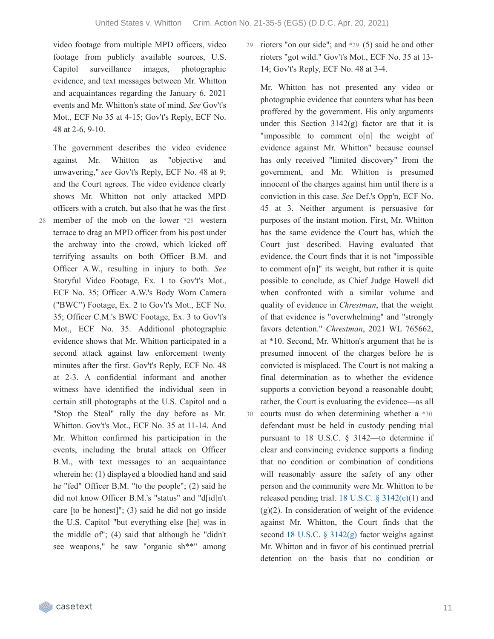video footage from multiple MPD officers, video footage from publicly available sources, U.S. Capitol surveillance images, photographic evidence, and text messages between Mr. Whitton and acquaintances regarding the January 6, 2021 events and Mr. Whitton's state of mind. *See* Gov't's Mot., ECF No 35 at 4-15; Gov't's Reply, ECF No. 48 at 2-6, 9-10.

The government describes the video evidence against Mr. Whitton as "objective and unwavering," *see* Gov't's Reply, ECF No. 48 at 9; and the Court agrees. The video evidence clearly shows Mr. Whitton not only attacked MPD officers with a crutch, but also that he was the first member of the mob on the lower \*28 western terrace to drag an MPD officer from his post under the archway into the crowd, which kicked off terrifying assaults on both Officer B.M. and Officer A.W., resulting in injury to both. *See* Storyful Video Footage, Ex. 1 to Gov't's Mot., ECF No. 35; Officer A.W.'s Body Worn Camera ("BWC") Footage, Ex. 2 to Gov't's Mot., ECF No. 35; Officer C.M.'s BWC Footage, Ex. 3 to Gov't's Mot., ECF No. 35. Additional photographic evidence shows that Mr. Whitton participated in a second attack against law enforcement twenty minutes after the first. Gov't's Reply, ECF No. 48 at 2-3. A confidential informant and another witness have identified the individual seen in certain still photographs at the U.S. Capitol and a "Stop the Steal" rally the day before as Mr. Whitton. Gov't's Mot., ECF No. 35 at 11-14. And Mr. Whitton confirmed his participation in the events, including the brutal attack on Officer B.M., with text messages to an acquaintance wherein he: (1) displayed a bloodied hand and said he "fed" Officer B.M. "to the people"; (2) said he did not know Officer B.M.'s "status" and "d[id]n't care [to be honest]"; (3) said he did not go inside the U.S. Capitol "but everything else [he] was in the middle of"; (4) said that although he "didn't see weapons," he saw "organic sh\*\*" among

29 rioters "on our side"; and  $*29$  (5) said he and other rioters "got wild." Gov't's Mot., ECF No. 35 at 13- 14; Gov't's Reply, ECF No. 48 at 3-4.

Mr. Whitton has not presented any video or photographic evidence that counters what has been proffered by the government. His only arguments under this Section  $3142(g)$  factor are that it is "impossible to comment o[n] the weight of evidence against Mr. Whitton" because counsel has only received "limited discovery" from the government, and Mr. Whitton is presumed innocent of the charges against him until there is a conviction in this case. *See* Def.'s Opp'n, ECF No. 45 at 3. Neither argument is persuasive for purposes of the instant motion. First, Mr. Whitton has the same evidence the Court has, which the Court just described. Having evaluated that evidence, the Court finds that it is not "impossible to comment o[n]" its weight, but rather it is quite possible to conclude, as Chief Judge Howell did when confronted with a similar volume and quality of evidence in *Chrestman*, that the weight of that evidence is "overwhelming" and "strongly favors detention." *Chrestman*, 2021 WL 765662, at \*10. Second, Mr. Whitton's argument that he is presumed innocent of the charges before he is convicted is misplaced. The Court is not making a final determination as to whether the evidence supports a conviction beyond a reasonable doubt; rather, the Court is evaluating the evidence—as all courts must do when determining whether a \*30 defendant must be held in custody pending trial pursuant to 18 U.S.C. § 3142—to determine if clear and convincing evidence supports a finding that no condition or combination of conditions will reasonably assure the safety of any other person and the community were Mr. Whitton to be released pending trial. 18 U.S.C.  $\S$  [3142\(e\)\(1\)](https://casetext.com/statute/united-states-code/title-18-crimes-and-criminal-procedure/part-ii-criminal-procedure/chapter-207-release-and-detention-pending-judicial-proceedings/section-3142-release-or-detention-of-a-defendant-pending-trial) and  $(g)(2)$ . In consideration of weight of the evidence against Mr. Whitton, the Court finds that the second 18 U.S.C. § [3142\(g\)](https://casetext.com/statute/united-states-code/title-18-crimes-and-criminal-procedure/part-ii-criminal-procedure/chapter-207-release-and-detention-pending-judicial-proceedings/section-3142-release-or-detention-of-a-defendant-pending-trial) factor weighs against Mr. Whitton and in favor of his continued pretrial detention on the basis that no condition or 30

28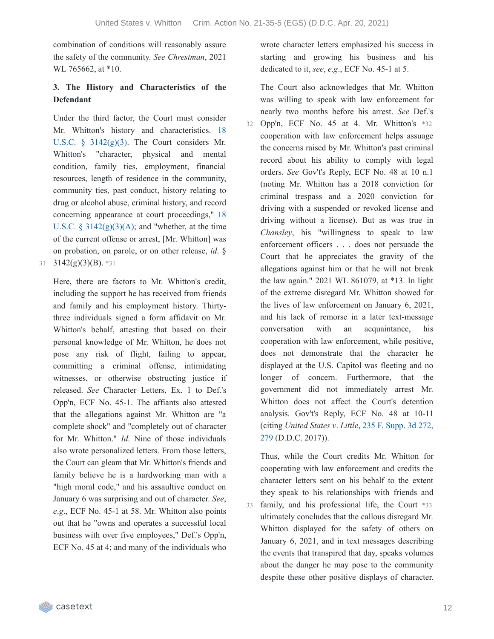combination of conditions will reasonably assure the safety of the community. *See Chrestman*, 2021 WL 765662, at \*10.

# **3. The History and Characteristics of the Defendant**

Under the third factor, the Court must consider Mr. Whitton's history and [characteristics.](https://casetext.com/statute/united-states-code/title-18-crimes-and-criminal-procedure/part-ii-criminal-procedure/chapter-207-release-and-detention-pending-judicial-proceedings/section-3142-release-or-detention-of-a-defendant-pending-trial) 18 U.S.C. § 3142(g)(3). The Court considers Mr. Whitton's "character, physical and mental condition, family ties, employment, financial resources, length of residence in the community, community ties, past conduct, history relating to drug or alcohol abuse, criminal history, and record concerning appearance at court proceedings," 18 U.S.C. §  $3142(g)(3)(A)$ ; and "whether, at the time of the current offense or arrest, [Mr. Whitton] was on probation, on parole, or on other release, *id*. § 31  $3142(g)(3)(B)$ . \*31

Here, there are factors to Mr. Whitton's credit, including the support he has received from friends and family and his employment history. Thirtythree individuals signed a form affidavit on Mr. Whitton's behalf, attesting that based on their personal knowledge of Mr. Whitton, he does not pose any risk of flight, failing to appear, committing a criminal offense, intimidating witnesses, or otherwise obstructing justice if released. *See* Character Letters, Ex. 1 to Def.'s Opp'n, ECF No. 45-1. The affiants also attested that the allegations against Mr. Whitton are "a complete shock" and "completely out of character for Mr. Whitton." *Id*. Nine of those individuals also wrote personalized letters. From those letters, the Court can gleam that Mr. Whitton's friends and family believe he is a hardworking man with a "high moral code," and his assaultive conduct on January 6 was surprising and out of character. *See*, *e*.*g*., ECF No. 45-1 at 58. Mr. Whitton also points out that he "owns and operates a successful local business with over five employees," Def.'s Opp'n, ECF No. 45 at 4; and many of the individuals who

wrote character letters emphasized his success in starting and growing his business and his dedicated to it, *see*, *e*.*g*., ECF No. 45-1 at 5.

The Court also acknowledges that Mr. Whitton was willing to speak with law enforcement for nearly two months before his arrest. *See* Def.'s

Opp'n, ECF No. 45 at 4. Mr. Whitton's \*32 32 cooperation with law enforcement helps assuage the concerns raised by Mr. Whitton's past criminal record about his ability to comply with legal orders. *See* Gov't's Reply, ECF No. 48 at 10 n.1 (noting Mr. Whitton has a 2018 conviction for criminal trespass and a 2020 conviction for driving with a suspended or revoked license and driving without a license). But as was true in *Chansley*, his "willingness to speak to law enforcement officers . . . does not persuade the Court that he appreciates the gravity of the allegations against him or that he will not break the law again." 2021 WL 861079, at \*13. In light of the extreme disregard Mr. Whitton showed for the lives of law enforcement on January 6, 2021, and his lack of remorse in a later text-message conversation with an acquaintance, his cooperation with law enforcement, while positive, does not demonstrate that the character he displayed at the U.S. Capitol was fleeting and no longer of concern. Furthermore, that the government did not immediately arrest Mr. Whitton does not affect the Court's detention analysis. Gov't's Reply, ECF No. 48 at 10-11 (citing *United States v*. *Little*, 235 F. Supp. 3d 272, 279 [\(D.D.C.](https://casetext.com/case/united-states-v-little-93#p279) 2017)).

Thus, while the Court credits Mr. Whitton for cooperating with law enforcement and credits the character letters sent on his behalf to the extent they speak to his relationships with friends and family, and his professional life, the Court \*33 ultimately concludes that the callous disregard Mr. Whitton displayed for the safety of others on January 6, 2021, and in text messages describing the events that transpired that day, speaks volumes about the danger he may pose to the community despite these other positive displays of character. 33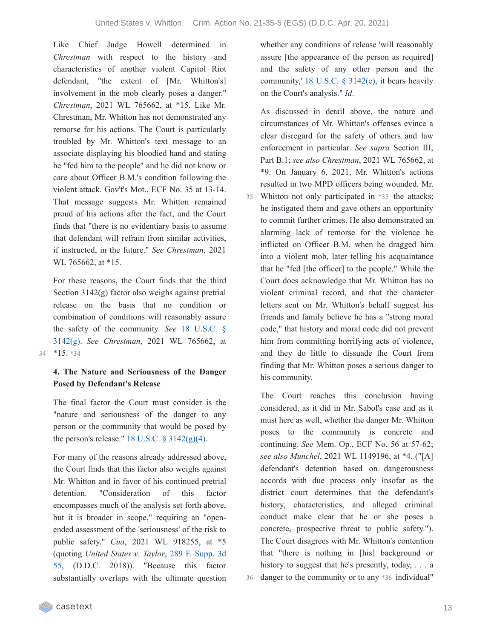Like Chief Judge Howell determined in *Chrestman* with respect to the history and characteristics of another violent Capitol Riot defendant, "the extent of [Mr. Whitton's] involvement in the mob clearly poses a danger." *Chrestman*, 2021 WL 765662, at \*15. Like Mr. Chrestman, Mr. Whitton has not demonstrated any remorse for his actions. The Court is particularly troubled by Mr. Whitton's text message to an associate displaying his bloodied hand and stating he "fed him to the people" and he did not know or care about Officer B.M.'s condition following the violent attack. Gov't's Mot., ECF No. 35 at 13-14. That message suggests Mr. Whitton remained proud of his actions after the fact, and the Court finds that "there is no evidentiary basis to assume that defendant will refrain from similar activities, if instructed, in the future." *See Chrestman*, 2021 WL 765662, at \*15.

For these reasons, the Court finds that the third Section 3142(g) factor also weighs against pretrial release on the basis that no condition or combination of conditions will reasonably assure the safety of the [community.](https://casetext.com/statute/united-states-code/title-18-crimes-and-criminal-procedure/part-ii-criminal-procedure/chapter-207-release-and-detention-pending-judicial-proceedings/section-3142-release-or-detention-of-a-defendant-pending-trial) *See* 18 U.S.C. § 3142(g). *See Chrestman*, 2021 WL 765662, at 34 \*15. \*34

#### **4. The Nature and Seriousness of the Danger Posed by Defendant's Release**

The final factor the Court must consider is the "nature and seriousness of the danger to any person or the community that would be posed by the person's release."  $18$  U.S.C.  $\S$  [3142\(g\)\(4\).](https://casetext.com/statute/united-states-code/title-18-crimes-and-criminal-procedure/part-ii-criminal-procedure/chapter-207-release-and-detention-pending-judicial-proceedings/section-3142-release-or-detention-of-a-defendant-pending-trial)

For many of the reasons already addressed above, the Court finds that this factor also weighs against Mr. Whitton and in favor of his continued pretrial detention. "Consideration of this factor encompasses much of the analysis set forth above, but it is broader in scope," requiring an "openended assessment of the 'seriousness' of the risk to public safety." *Cua*, 2021 WL 918255, at \*5 (quoting *United States v*. *Taylor*, 289 F. Supp. 3d 55, (D.D.C. 2018)). ["Because](https://casetext.com/case/united-states-v-taylor-915) this factor substantially overlaps with the ultimate question whether any conditions of release 'will reasonably assure [the appearance of the person as required] and the safety of any other person and the community,' 18 U.S.C. § [3142\(e\)](https://casetext.com/statute/united-states-code/title-18-crimes-and-criminal-procedure/part-ii-criminal-procedure/chapter-207-release-and-detention-pending-judicial-proceedings/section-3142-release-or-detention-of-a-defendant-pending-trial), it bears heavily on the Court's analysis." *Id*.

As discussed in detail above, the nature and circumstances of Mr. Whitton's offenses evince a clear disregard for the safety of others and law enforcement in particular. *See supra* Section III, Part B.1; *see also Chrestman*, 2021 WL 765662, at \*9. On January 6, 2021, Mr. Whitton's actions resulted in two MPD officers being wounded. Mr. Whitton not only participated in \*35 the attacks; he instigated them and gave others an opportunity to commit further crimes. He also demonstrated an alarming lack of remorse for the violence he inflicted on Officer B.M. when he dragged him into a violent mob, later telling his acquaintance that he "fed [the officer] to the people." While the Court does acknowledge that Mr. Whitton has no violent criminal record, and that the character letters sent on Mr. Whitton's behalf suggest his friends and family believe he has a "strong moral code," that history and moral code did not prevent him from committing horrifying acts of violence, and they do little to dissuade the Court from finding that Mr. Whitton poses a serious danger to his community.

The Court reaches this conclusion having considered, as it did in Mr. Sabol's case and as it must here as well, whether the danger Mr. Whitton poses to the community is concrete and continuing. *See* Mem. Op., ECF No. 56 at 57-62; *see also Munchel*, 2021 WL 1149196, at \*4. ("[A] defendant's detention based on dangerousness accords with due process only insofar as the district court determines that the defendant's history, characteristics, and alleged criminal conduct make clear that he or she poses a concrete, prospective threat to public safety."). The Court disagrees with Mr. Whitton's contention that "there is nothing in [his] background or history to suggest that he's presently, today, ... a 36 danger to the community or to any \*36 individual"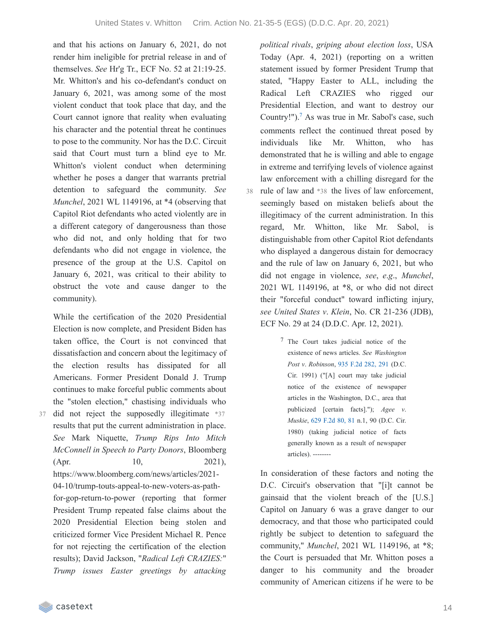and that his actions on January 6, 2021, do not render him ineligible for pretrial release in and of themselves. *See* Hr'g Tr., ECF No. 52 at 21:19-25. Mr. Whitton's and his co-defendant's conduct on January 6, 2021, was among some of the most violent conduct that took place that day, and the Court cannot ignore that reality when evaluating his character and the potential threat he continues to pose to the community. Nor has the D.C. Circuit said that Court must turn a blind eye to Mr. Whitton's violent conduct when determining whether he poses a danger that warrants pretrial detention to safeguard the community. *See Munchel*, 2021 WL 1149196, at \*4 (observing that Capitol Riot defendants who acted violently are in a different category of dangerousness than those who did not, and only holding that for two defendants who did not engage in violence, the presence of the group at the U.S. Capitol on January 6, 2021, was critical to their ability to obstruct the vote and cause danger to the community).

While the certification of the 2020 Presidential Election is now complete, and President Biden has taken office, the Court is not convinced that dissatisfaction and concern about the legitimacy of the election results has dissipated for all Americans. Former President Donald J. Trump continues to make forceful public comments about the "stolen election," chastising individuals who 37 did not reject the supposedly illegitimate \*37 results that put the current administration in place. *See* Mark Niquette, *Trump Rips Into Mitch McConnell in Speech to Party Donors*, Bloomberg (Apr. 10, 2021), https://www.bloomberg.com/news/articles/2021- 04-10/trump-touts-appeal-to-new-voters-as-pathfor-gop-return-to-power (reporting that former President Trump repeated false claims about the 2020 Presidential Election being stolen and criticized former Vice President Michael R. Pence for not rejecting the certification of the election results); David Jackson, "*Radical Left CRAZIES:*" *Trump issues Easter greetings by attacking*

*political rivals*, *griping about election loss*, USA Today (Apr. 4, 2021) (reporting on a written statement issued by former President Trump that stated, "Happy Easter to ALL, including the Radical Left CRAZIES who rigged our Presidential Election, and want to destroy our Country!").<sup>[7](https://casetext.com/_print/doc/united-states-v-whitton-1?_printIncludeHighlights=false&_printIncludeKeyPassages=false&_printIsTwoColumn=true&_printEmail=&_printHighlightsKey=#N197462)</sup> As was true in Mr. Sabol's case, such comments reflect the continued threat posed by individuals like Mr. Whitton, who has demonstrated that he is willing and able to engage in extreme and terrifying levels of violence against law enforcement with a chilling disregard for the 38 rule of law and \*38 the lives of law enforcement, seemingly based on mistaken beliefs about the illegitimacy of the current administration. In this regard, Mr. Whitton, like Mr. Sabol, is distinguishable from other Capitol Riot defendants who displayed a dangerous distain for democracy and the rule of law on January 6, 2021, but who did not engage in violence, *see*, *e*.*g*., *Munchel*, 2021 WL 1149196, at \*8, or who did not direct their "forceful conduct" toward inflicting injury, *see United States v*. *Klein*, No. CR 21-236 (JDB), ECF No. 29 at 24 (D.D.C. Apr. 12, 2021).

> 7 The Court takes judicial notice of the existence of news articles. *See Washington Post v*. *Robinson*, 935 F.2d [282,](https://casetext.com/case/washington-post-v-robinson#p291) 291 (D.C. Cir. 1991) ("[A] court may take judicial notice of the existence of newspaper articles in the Washington, D.C., area that publicized [certain facts]."); *Agee v*. *Muskie*, 629 [F.2d](https://casetext.com/case/agee-v-muskie#p81) 80, 81 n.1, 90 (D.C. Cir. 1980) (taking judicial notice of facts generally known as a result of newspaper articles). --------

In consideration of these factors and noting the D.C. Circuit's observation that "[i]t cannot be gainsaid that the violent breach of the [U.S.] Capitol on January 6 was a grave danger to our democracy, and that those who participated could rightly be subject to detention to safeguard the community," *Munchel*, 2021 WL 1149196, at \*8; the Court is persuaded that Mr. Whitton poses a danger to his community and the broader community of American citizens if he were to be